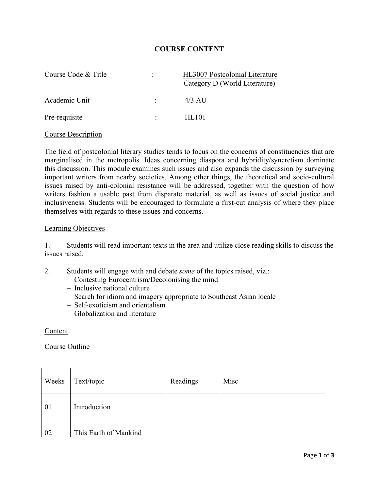## **COURSE CONTENT**

| Course Code & Title | $\ddot{\cdot}$ | HL3007 Postcolonial Literature<br>Category D (World Literature) |
|---------------------|----------------|-----------------------------------------------------------------|
| Academic Unit       |                | $4/3$ AU                                                        |
| Pre-requisite       |                | HL101                                                           |

### Course Description

The field of postcolonial literary studies tends to focus on the concerns of constituencies that are marginalised in the metropolis. Ideas concerning diaspora and hybridity/syncretism dominate this discussion. This module examines such issues and also expands the discussion by surveying important writers from nearby societies. Among other things, the theoretical and socio-cultural issues raised by anti-colonial resistance will be addressed, together with the question of how writers fashion a usable past from disparate material, as well as issues of social justice and inclusiveness. Students will be encouraged to formulate a first-cut analysis of where they place themselves with regards to these issues and concerns.

#### Learning Objectives

1. Students will read important texts in the area and utilize close reading skills to discuss the issues raised.

- 2. Students will engage with and debate *some* of the topics raised, viz.:
	- Contesting Eurocentrism/Decolonising the mind
	- Inclusive national culture
	- Search for idiom and imagery appropriate to Southeast Asian locale
	- Self-exoticism and orientalism
	- Globalization and literature

### Content

Course Outline

| Weeks | Text/topic            | Readings | Misc |
|-------|-----------------------|----------|------|
| 01    | Introduction          |          |      |
| 02    | This Earth of Mankind |          |      |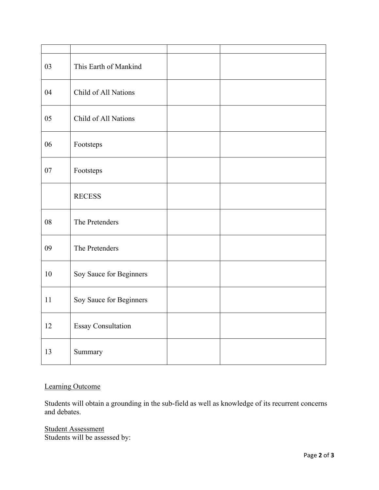| 03 | This Earth of Mankind     |  |
|----|---------------------------|--|
| 04 | Child of All Nations      |  |
| 05 | Child of All Nations      |  |
| 06 | Footsteps                 |  |
| 07 | Footsteps                 |  |
|    | <b>RECESS</b>             |  |
| 08 | The Pretenders            |  |
| 09 | The Pretenders            |  |
| 10 | Soy Sauce for Beginners   |  |
| 11 | Soy Sauce for Beginners   |  |
| 12 | <b>Essay Consultation</b> |  |
| 13 | Summary                   |  |

# Learning Outcome

Students will obtain a grounding in the sub-field as well as knowledge of its recurrent concerns and debates.

Student Assessment Students will be assessed by: